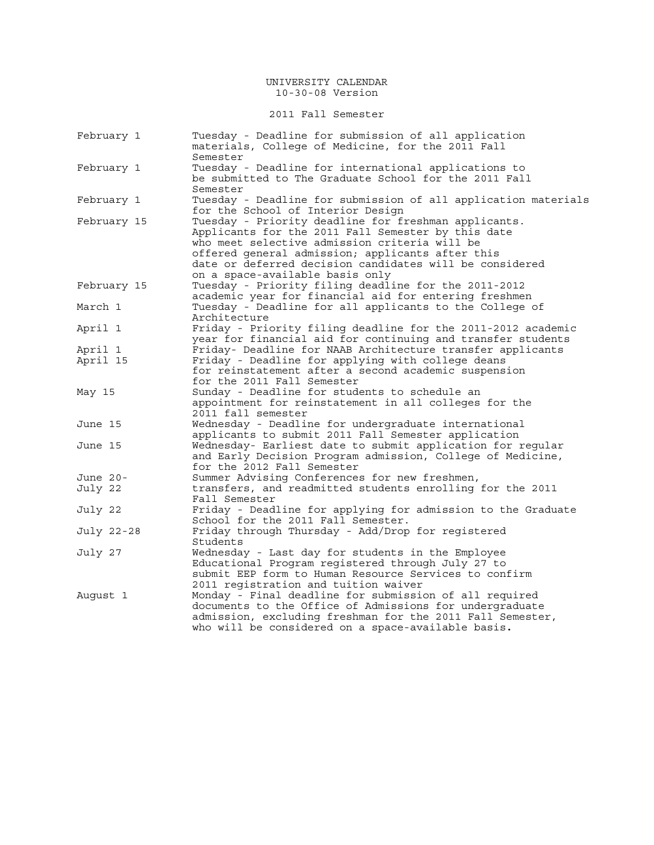### 2011 Fall Semester

| February 1  | Tuesday - Deadline for submission of all application<br>materials, College of Medicine, for the 2011 Fall                                                                  |
|-------------|----------------------------------------------------------------------------------------------------------------------------------------------------------------------------|
| February 1  | Semester<br>Tuesday - Deadline for international applications to<br>be submitted to The Graduate School for the 2011 Fall                                                  |
|             | Semester                                                                                                                                                                   |
| February 1  | Tuesday - Deadline for submission of all application materials<br>for the School of Interior Design                                                                        |
| February 15 | Tuesday - Priority deadline for freshman applicants.<br>Applicants for the 2011 Fall Semester by this date<br>who meet selective admission criteria will be                |
|             | offered general admission; applicants after this<br>date or deferred decision candidates will be considered<br>on a space-available basis only                             |
| February 15 | Tuesday - Priority filing deadline for the 2011-2012<br>academic year for financial aid for entering freshmen                                                              |
| March 1     | Tuesday - Deadline for all applicants to the College of<br>Architecture                                                                                                    |
| April 1     | Friday - Priority filing deadline for the 2011-2012 academic<br>year for financial aid for continuing and transfer students                                                |
| April 1     | Friday- Deadline for NAAB Architecture transfer applicants                                                                                                                 |
| April 15    | Friday - Deadline for applying with college deans                                                                                                                          |
|             | for reinstatement after a second academic suspension                                                                                                                       |
|             | for the 2011 Fall Semester                                                                                                                                                 |
| May 15      | Sunday - Deadline for students to schedule an                                                                                                                              |
|             | appointment for reinstatement in all colleges for the                                                                                                                      |
|             | 2011 fall semester                                                                                                                                                         |
| June 15     | Wednesday - Deadline for undergraduate international                                                                                                                       |
|             | applicants to submit 2011 Fall Semester application                                                                                                                        |
| June 15     | Wednesday- Earliest date to submit application for regular<br>and Early Decision Program admission, College of Medicine,<br>for the 2012 Fall Semester                     |
| June 20-    | Summer Advising Conferences for new freshmen,                                                                                                                              |
| July 22     | transfers, and readmitted students enrolling for the 2011                                                                                                                  |
|             | Fall Semester                                                                                                                                                              |
| July 22     | Friday - Deadline for applying for admission to the Graduate<br>School for the 2011 Fall Semester.                                                                         |
| July 22-28  | Friday through Thursday - Add/Drop for registered<br>Students                                                                                                              |
| July 27     | Wednesday - Last day for students in the Employee<br>Educational Program registered through July 27 to                                                                     |
| August 1    | submit EEP form to Human Resource Services to confirm<br>2011 registration and tuition waiver<br>Monday - Final deadline for submission of all required                    |
|             | documents to the Office of Admissions for undergraduate<br>admission, excluding freshman for the 2011 Fall Semester,<br>who will be considered on a space-available basis. |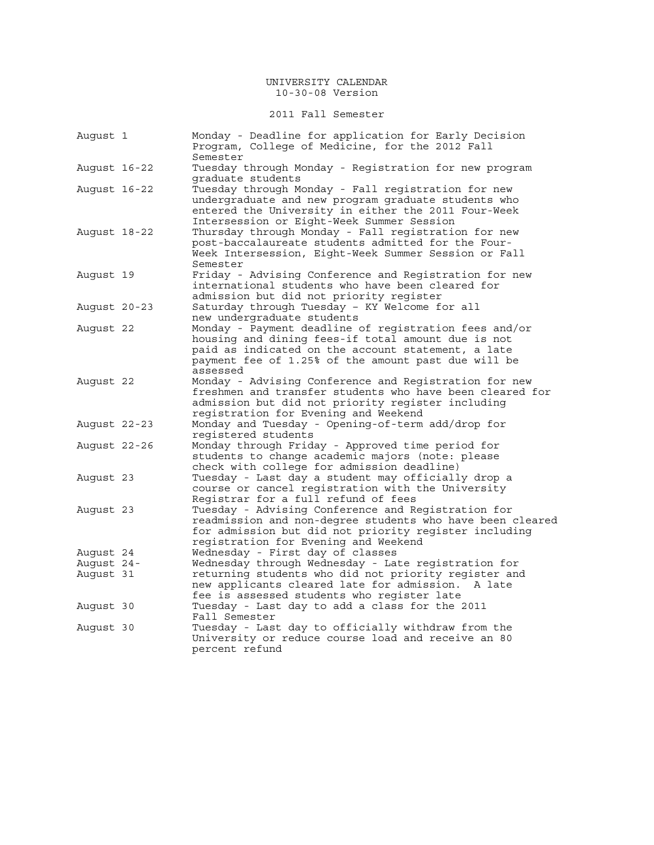### 2011 Fall Semester

| August 1     | Monday - Deadline for application for Early Decision<br>Program, College of Medicine, for the 2012 Fall            |
|--------------|--------------------------------------------------------------------------------------------------------------------|
|              | Semester                                                                                                           |
| August 16-22 | Tuesday through Monday - Registration for new program                                                              |
|              | graduate students                                                                                                  |
| August 16-22 | Tuesday through Monday - Fall registration for new                                                                 |
|              | undergraduate and new program graduate students who                                                                |
|              | entered the University in either the 2011 Four-Week                                                                |
|              | Intersession or Eight-Week Summer Session                                                                          |
| August 18-22 | Thursday through Monday - Fall registration for new                                                                |
|              | post-baccalaureate students admitted for the Four-                                                                 |
|              | Week Intersession, Eight-Week Summer Session or Fall                                                               |
|              | Semester                                                                                                           |
| August 19    | Friday - Advising Conference and Registration for new                                                              |
|              | international students who have been cleared for                                                                   |
|              | admission but did not priority register                                                                            |
| August 20-23 | Saturday through Tuesday - KY Welcome for all                                                                      |
|              | new undergraduate students                                                                                         |
| August 22    | Monday - Payment deadline of registration fees and/or                                                              |
|              | housing and dining fees-if total amount due is not<br>paid as indicated on the account statement, a late           |
|              | payment fee of 1.25% of the amount past due will be                                                                |
|              | assessed                                                                                                           |
| August 22    | Monday - Advising Conference and Registration for new                                                              |
|              | freshmen and transfer students who have been cleared for                                                           |
|              | admission but did not priority register including                                                                  |
|              | registration for Evening and Weekend                                                                               |
| August 22-23 | Monday and Tuesday - Opening-of-term add/drop for                                                                  |
|              | reqistered students                                                                                                |
| August 22-26 | Monday through Friday - Approved time period for                                                                   |
|              | students to change academic majors (note: please                                                                   |
|              | check with college for admission deadline)                                                                         |
| August 23    | Tuesday - Last day a student may officially drop a                                                                 |
|              | course or cancel registration with the University                                                                  |
|              | Registrar for a full refund of fees                                                                                |
| August 23    | Tuesday - Advising Conference and Registration for                                                                 |
|              | readmission and non-degree students who have been cleared<br>for admission but did not priority register including |
|              | registration for Evening and Weekend                                                                               |
| August 24    | Wednesday - First day of classes                                                                                   |
| August 24-   | Wednesday through Wednesday - Late registration for                                                                |
| August 31    | returning students who did not priority register and                                                               |
|              | new applicants cleared late for admission.<br>A late                                                               |
|              | fee is assessed students who reqister late                                                                         |
| August 30    | Tuesday - Last day to add a class for the 2011                                                                     |
|              | Fall Semester                                                                                                      |
| August 30    | Tuesday - Last day to officially withdraw from the                                                                 |
|              | University or reduce course load and receive an 80                                                                 |
|              | percent refund                                                                                                     |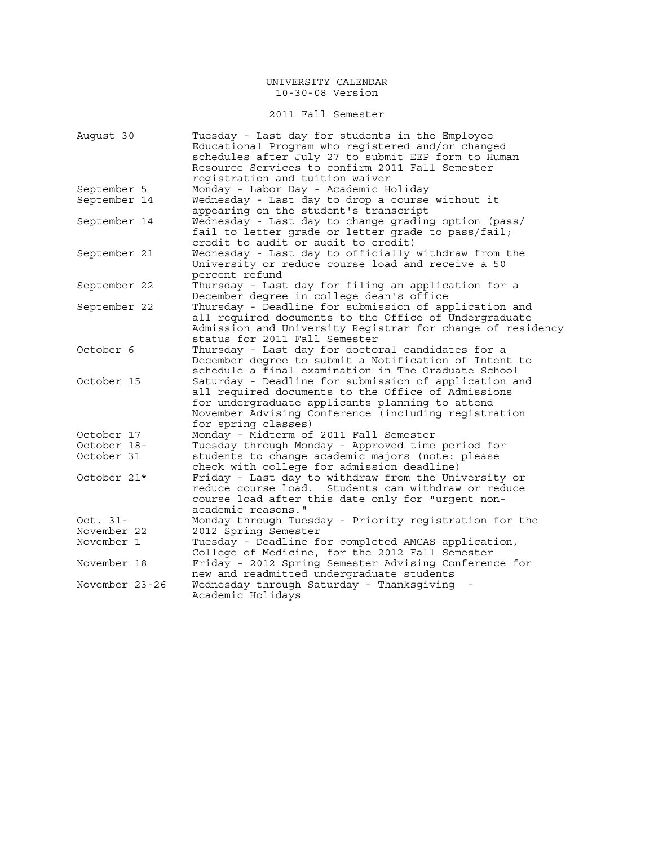### 2011 Fall Semester

| August 30      | Tuesday - Last day for students in the Employee<br>Educational Program who registered and/or changed<br>schedules after July 27 to submit EEP form to Human<br>Resource Services to confirm 2011 Fall Semester |
|----------------|----------------------------------------------------------------------------------------------------------------------------------------------------------------------------------------------------------------|
|                | registration and tuition waiver                                                                                                                                                                                |
| September 5    | Monday - Labor Day - Academic Holiday                                                                                                                                                                          |
| September 14   | Wednesday - Last day to drop a course without it                                                                                                                                                               |
|                | appearing on the student's transcript                                                                                                                                                                          |
| September 14   | Wednesday - Last day to change grading option (pass/                                                                                                                                                           |
|                | fail to letter grade or letter grade to pass/fail;                                                                                                                                                             |
|                | credit to audit or audit to credit)                                                                                                                                                                            |
| September 21   | Wednesday - Last day to officially withdraw from the                                                                                                                                                           |
|                | University or reduce course load and receive a 50                                                                                                                                                              |
|                | percent refund                                                                                                                                                                                                 |
| September 22   | Thursday - Last day for filing an application for a                                                                                                                                                            |
|                | December degree in college dean's office                                                                                                                                                                       |
| September 22   | Thursday - Deadline for submission of application and                                                                                                                                                          |
|                | all required documents to the Office of Undergraduate                                                                                                                                                          |
|                | Admission and University Registrar for change of residency                                                                                                                                                     |
|                | status for 2011 Fall Semester                                                                                                                                                                                  |
| October 6      | Thursday - Last day for doctoral candidates for a                                                                                                                                                              |
|                | December degree to submit a Notification of Intent to                                                                                                                                                          |
|                | schedule a final examination in The Graduate School                                                                                                                                                            |
| October 15     | Saturday - Deadline for submission of application and                                                                                                                                                          |
|                | all required documents to the Office of Admissions                                                                                                                                                             |
|                | for undergraduate applicants planning to attend                                                                                                                                                                |
|                | November Advising Conference (including registration                                                                                                                                                           |
|                | for spring classes)                                                                                                                                                                                            |
| October 17     | Monday - Midterm of 2011 Fall Semester                                                                                                                                                                         |
| October 18-    | Tuesday through Monday - Approved time period for                                                                                                                                                              |
| October 31     | students to change academic majors (note: please                                                                                                                                                               |
|                | check with college for admission deadline)                                                                                                                                                                     |
| October 21*    | Friday - Last day to withdraw from the University or                                                                                                                                                           |
|                | reduce course load. Students can withdraw or reduce                                                                                                                                                            |
|                | course load after this date only for "urgent non-                                                                                                                                                              |
|                | academic reasons."                                                                                                                                                                                             |
| Oct. $31-$     | Monday through Tuesday - Priority registration for the                                                                                                                                                         |
| November 22    | 2012 Spring Semester                                                                                                                                                                                           |
| November 1     | Tuesday - Deadline for completed AMCAS application,                                                                                                                                                            |
|                | College of Medicine, for the 2012 Fall Semester                                                                                                                                                                |
| November 18    | Friday - 2012 Spring Semester Advising Conference for                                                                                                                                                          |
|                | new and readmitted undergraduate students                                                                                                                                                                      |
| November 23-26 | Wednesday through Saturday - Thanksgiving                                                                                                                                                                      |
|                | Academic Holidays                                                                                                                                                                                              |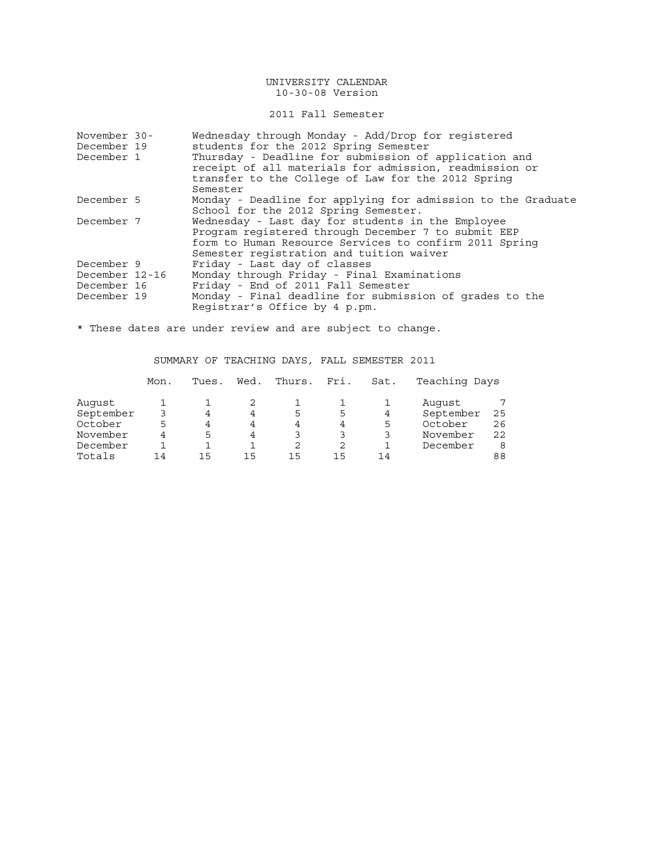### 2011 Fall Semester

| November 30-   | Wednesday through Monday - Add/Drop for registered                                                              |
|----------------|-----------------------------------------------------------------------------------------------------------------|
| December 19    | students for the 2012 Spring Semester                                                                           |
| December 1     | Thursday - Deadline for submission of application and<br>receipt of all materials for admission, readmission or |
|                | transfer to the College of Law for the 2012 Spring                                                              |
|                | Semester                                                                                                        |
| December 5     | Monday - Deadline for applying for admission to the Graduate                                                    |
|                | School for the 2012 Spring Semester.                                                                            |
| December 7     | Wednesday - Last day for students in the Employee                                                               |
|                | Program registered through December 7 to submit EEP                                                             |
|                | form to Human Resource Services to confirm 2011 Spring                                                          |
|                | Semester registration and tuition waiver                                                                        |
| December 9     | Friday - Last day of classes                                                                                    |
| December 12-16 | Monday through Friday - Final Examinations                                                                      |
| December 16    | Friday - End of 2011 Fall Semester                                                                              |
| December 19    | Monday - Final deadline for submission of grades to the                                                         |
|                | Registrar's Office by 4 p.pm.                                                                                   |

\* These dates are under review and are subject to change.

# SUMMARY OF TEACHING DAYS, FALL SEMESTER 2011

|           | Mon. | Tues. | Wed. | Thurs. | Fri. | Sat. | Teaching Days |    |
|-----------|------|-------|------|--------|------|------|---------------|----|
| Auqust    |      |       |      |        |      |      | August        |    |
| September |      | 4     | 4    | 5      | 5    | 4    | September     | 25 |
| October   | 5    | 4     | 4    | 4      | 4    | 5    | October       | 26 |
| November  | 4    | 5     | 4    |        | 3    |      | November      | 22 |
| December  |      |       |      | 2      |      |      | December      | 8  |
| Totals    | 14   | 15    | 15   | 15     | 15   | 14   |               | 88 |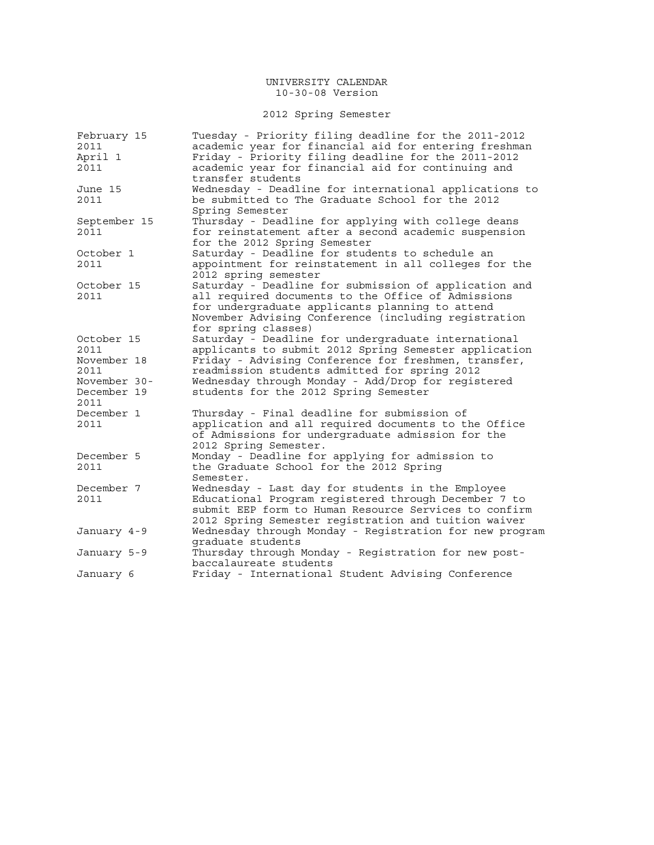# 2012 Spring Semester

| February 15<br>2011<br>April 1<br>2011 | Tuesday - Priority filing deadline for the 2011-2012<br>academic year for financial aid for entering freshman<br>Friday - Priority filing deadline for the 2011-2012<br>academic year for financial aid for continuing and                    |
|----------------------------------------|-----------------------------------------------------------------------------------------------------------------------------------------------------------------------------------------------------------------------------------------------|
| June 15<br>2011                        | transfer students<br>Wednesday - Deadline for international applications to<br>be submitted to The Graduate School for the 2012<br>Spring Semester                                                                                            |
| September 15<br>2011                   | Thursday - Deadline for applying with college deans<br>for reinstatement after a second academic suspension<br>for the 2012 Spring Semester                                                                                                   |
| October 1<br>2011                      | Saturday - Deadline for students to schedule an<br>appointment for reinstatement in all colleges for the<br>2012 spring semester                                                                                                              |
| October 15<br>2011                     | Saturday - Deadline for submission of application and<br>all required documents to the Office of Admissions<br>for undergraduate applicants planning to attend<br>November Advising Conference (including registration<br>for spring classes) |
| October 15<br>2011                     | Saturday - Deadline for undergraduate international<br>applicants to submit 2012 Spring Semester application                                                                                                                                  |
| November 18<br>2011                    | Friday - Advising Conference for freshmen, transfer,<br>readmission students admitted for spring 2012                                                                                                                                         |
| November 30-<br>December 19<br>2011    | Wednesday through Monday - Add/Drop for registered<br>students for the 2012 Spring Semester                                                                                                                                                   |
| December 1<br>2011                     | Thursday - Final deadline for submission of<br>application and all required documents to the Office<br>of Admissions for undergraduate admission for the<br>2012 Spring Semester.                                                             |
| December 5<br>2011                     | Monday - Deadline for applying for admission to<br>the Graduate School for the 2012 Spring<br>Semester.                                                                                                                                       |
| December 7<br>2011                     | Wednesday - Last day for students in the Employee<br>Educational Program registered through December 7 to<br>submit EEP form to Human Resource Services to confirm<br>2012 Spring Semester registration and tuition waiver                    |
| January 4-9                            | Wednesday through Monday - Registration for new program<br>graduate students                                                                                                                                                                  |
| January 5-9                            | Thursday through Monday - Registration for new post-<br>baccalaureate students                                                                                                                                                                |
| January 6                              | Friday - International Student Advising Conference                                                                                                                                                                                            |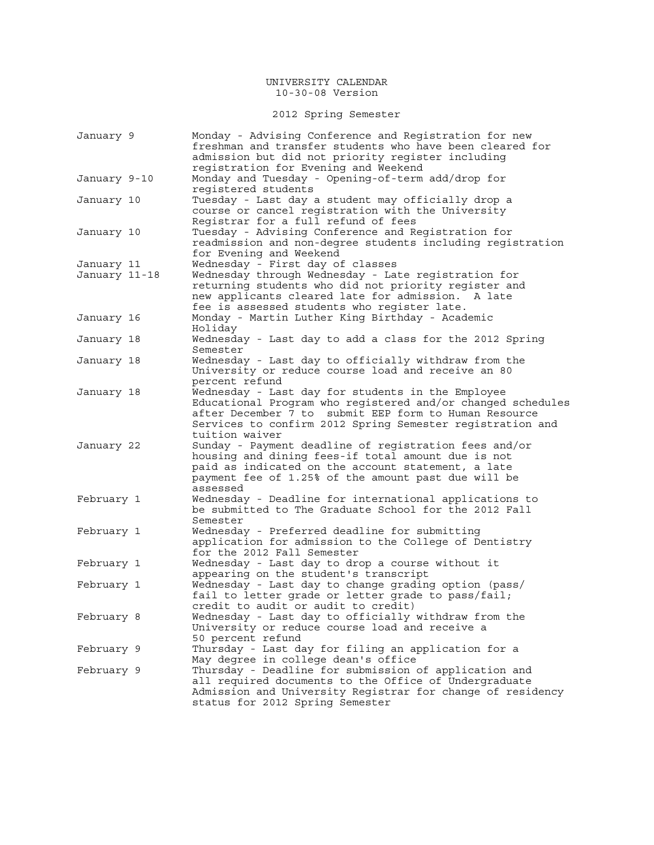2012 Spring Semester

| January 9     | Monday - Advising Conference and Registration for new<br>freshman and transfer students who have been cleared for<br>admission but did not priority register including<br>registration for Evening and Weekend                                           |
|---------------|----------------------------------------------------------------------------------------------------------------------------------------------------------------------------------------------------------------------------------------------------------|
| January 9-10  | Monday and Tuesday - Opening-of-term add/drop for<br>registered students                                                                                                                                                                                 |
| January 10    | Tuesday - Last day a student may officially drop a<br>course or cancel registration with the University<br>Registrar for a full refund of fees                                                                                                           |
| January 10    | Tuesday - Advising Conference and Registration for<br>readmission and non-degree students including registration<br>for Evening and Weekend                                                                                                              |
| January 11    | Wednesday - First day of classes                                                                                                                                                                                                                         |
| January 11-18 | Wednesday through Wednesday - Late registration for<br>returning students who did not priority register and<br>new applicants cleared late for admission. A late<br>fee is assessed students who register late.                                          |
| January 16    | Monday - Martin Luther King Birthday - Academic<br>Holiday                                                                                                                                                                                               |
| January 18    | Wednesday - Last day to add a class for the 2012 Spring<br>Semester                                                                                                                                                                                      |
| January 18    | Wednesday - Last day to officially withdraw from the<br>University or reduce course load and receive an 80<br>percent refund                                                                                                                             |
| January 18    | Wednesday - Last day for students in the Employee<br>Educational Program who registered and/or changed schedules<br>after December 7 to submit EEP form to Human Resource<br>Services to confirm 2012 Spring Semester registration and<br>tuition waiver |
| January 22    | Sunday - Payment deadline of registration fees and/or<br>housing and dining fees-if total amount due is not<br>paid as indicated on the account statement, a late<br>payment fee of 1.25% of the amount past due will be<br>assessed                     |
| February 1    | Wednesday - Deadline for international applications to<br>be submitted to The Graduate School for the 2012 Fall<br>Semester                                                                                                                              |
| February 1    | Wednesday - Preferred deadline for submitting<br>application for admission to the College of Dentistry<br>for the 2012 Fall Semester                                                                                                                     |
| February 1    | Wednesday - Last day to drop a course without it<br>appearing on the student's transcript                                                                                                                                                                |
| February 1    | Wednesday - Last day to change grading option (pass/<br>fail to letter grade or letter grade to pass/fail;<br>credit to audit or audit to credit)                                                                                                        |
| February 8    | Wednesday - Last day to officially withdraw from the<br>University or reduce course load and receive a<br>50 percent refund                                                                                                                              |
| February 9    | Thursday - Last day for filing an application for a<br>May degree in college dean's office                                                                                                                                                               |
| February 9    | Thursday - Deadline for submission of application and<br>all required documents to the Office of Undergraduate<br>Admission and University Registrar for change of residency<br>status for 2012 Spring Semester                                          |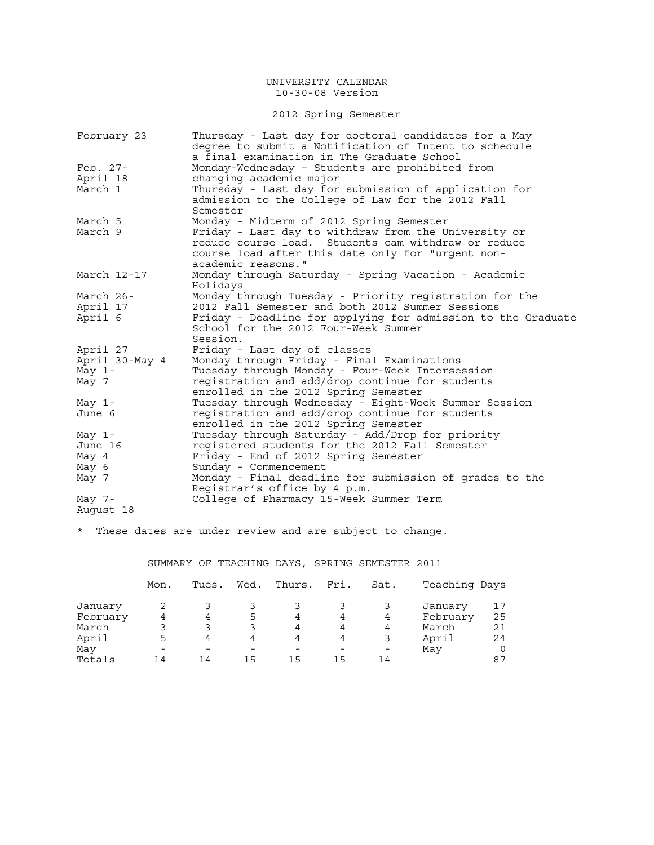# 2012 Spring Semester

| February 23    | Thursday - Last day for doctoral candidates for a May<br>degree to submit a Notification of Intent to schedule |
|----------------|----------------------------------------------------------------------------------------------------------------|
|                | a final examination in The Graduate School                                                                     |
| Feb. 27-       | Monday-Wednesday - Students are prohibited from                                                                |
| April 18       | changing academic major                                                                                        |
| March 1        | Thursday - Last day for submission of application for                                                          |
|                | admission to the College of Law for the 2012 Fall                                                              |
|                | Semester                                                                                                       |
| March 5        | Monday - Midterm of 2012 Spring Semester                                                                       |
| March 9        | Friday - Last day to withdraw from the University or                                                           |
|                | reduce course load. Students cam withdraw or reduce                                                            |
|                | course load after this date only for "urgent non-                                                              |
|                | academic reasons."                                                                                             |
| March 12-17    | Monday through Saturday - Spring Vacation - Academic                                                           |
|                | Holidays                                                                                                       |
| March 26-      | Monday through Tuesday - Priority registration for the                                                         |
| April 17       | 2012 Fall Semester and both 2012 Summer Sessions                                                               |
| April 6        | Friday - Deadline for applying for admission to the Graduate                                                   |
|                | School for the 2012 Four-Week Summer                                                                           |
|                | Session.                                                                                                       |
| April 27       | Friday - Last day of classes                                                                                   |
| April 30-May 4 | Monday through Friday - Final Examinations                                                                     |
| May $1-$       | Tuesday through Monday - Four-Week Intersession                                                                |
| May 7          | registration and add/drop continue for students                                                                |
|                | enrolled in the 2012 Spring Semester                                                                           |
| May $1-$       | Tuesday through Wednesday - Eight-Week Summer Session                                                          |
| June 6         | registration and add/drop continue for students                                                                |
|                | enrolled in the 2012 Spring Semester                                                                           |
| May 1-         | Tuesday through Saturday - Add/Drop for priority                                                               |
| June 16        | registered students for the 2012 Fall Semester                                                                 |
| May 4          | Friday - End of 2012 Spring Semester                                                                           |
| May 6          | Sunday - Commencement                                                                                          |
| May 7          | Monday - Final deadline for submission of grades to the                                                        |
|                | Registrar's office by 4 p.m.                                                                                   |
| May $7-$       | College of Pharmacy 15-Week Summer Term                                                                        |
| August 18      |                                                                                                                |

\* These dates are under review and are subject to change.

# SUMMARY OF TEACHING DAYS, SPRING SEMESTER 2011

|          | Mon. | Tues. | Wed. | Thurs. | Fri. | Sat. | Teaching Days |    |
|----------|------|-------|------|--------|------|------|---------------|----|
| January  |      |       |      |        |      |      | January       |    |
| February |      | 4     | 5    | 4      |      | 4    | February      | 25 |
| March    |      | 3     |      |        |      | 4    | March         | 21 |
| April    |      |       | 4    |        | 4    |      | April         | 24 |
| May      |      |       |      |        |      |      | May           |    |
| Totals   | 14   | 14    | 15   | 15     | 15   | 14   |               | 87 |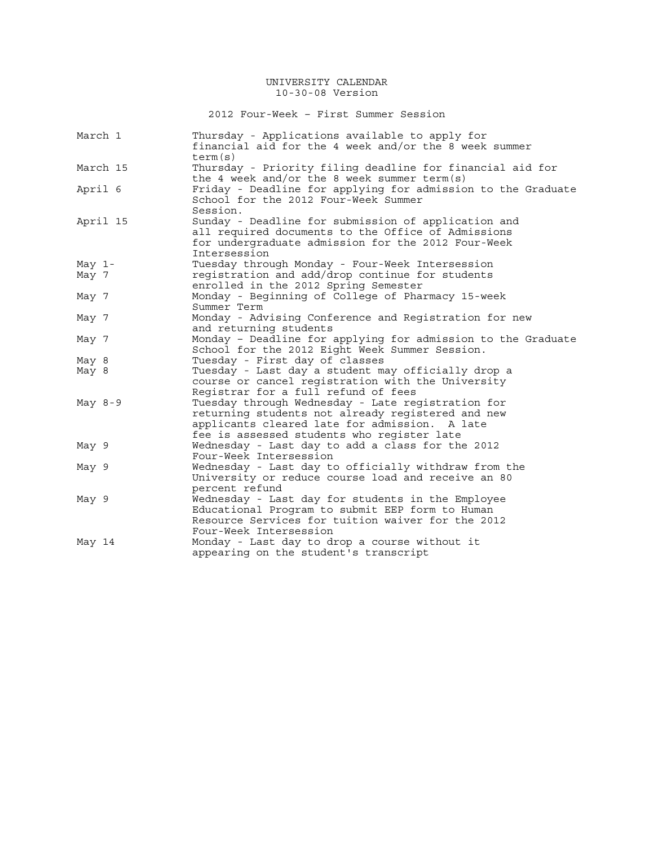2012 Four-Week – First Summer Session

| March 1   | Thursday - Applications available to apply for<br>financial aid for the 4 week and/or the 8 week summer<br>term(s)                                                              |
|-----------|---------------------------------------------------------------------------------------------------------------------------------------------------------------------------------|
| March 15  | Thursday - Priority filing deadline for financial aid for<br>the 4 week and/or the 8 week summer term(s)                                                                        |
| April 6   | Friday - Deadline for applying for admission to the Graduate<br>School for the 2012 Four-Week Summer<br>Session.                                                                |
| April 15  | Sunday - Deadline for submission of application and<br>all required documents to the Office of Admissions<br>for undergraduate admission for the 2012 Four-Week<br>Intersession |
| May $1-$  | Tuesday through Monday - Four-Week Intersession                                                                                                                                 |
| May 7     | registration and add/drop continue for students                                                                                                                                 |
|           | enrolled in the 2012 Spring Semester                                                                                                                                            |
| May 7     | Monday - Beginning of College of Pharmacy 15-week                                                                                                                               |
|           | Summer Term                                                                                                                                                                     |
| May 7     | Monday - Advising Conference and Registration for new                                                                                                                           |
|           | and returning students                                                                                                                                                          |
| May 7     | Monday - Deadline for applying for admission to the Graduate                                                                                                                    |
|           | School for the 2012 Eight Week Summer Session.                                                                                                                                  |
| May 8     | Tuesday - First day of classes                                                                                                                                                  |
| May 8     | Tuesday - Last day a student may officially drop a                                                                                                                              |
|           | course or cancel registration with the University<br>Registrar for a full refund of fees                                                                                        |
| May $8-9$ | Tuesday through Wednesday - Late registration for                                                                                                                               |
|           | returning students not already registered and new<br>applicants cleared late for admission. A late<br>fee is assessed students who register late                                |
| May 9     | Wednesday - Last day to add a class for the 2012                                                                                                                                |
|           | Four-Week Intersession                                                                                                                                                          |
| May 9     | Wednesday - Last day to officially withdraw from the                                                                                                                            |
|           | University or reduce course load and receive an 80                                                                                                                              |
|           | percent refund                                                                                                                                                                  |
| May 9     | Wednesday - Last day for students in the Employee                                                                                                                               |
|           | Educational Program to submit EEP form to Human                                                                                                                                 |
|           |                                                                                                                                                                                 |
|           | Resource Services for tuition waiver for the 2012                                                                                                                               |
|           | Four-Week Intersession                                                                                                                                                          |
| May 14    | Monday - Last day to drop a course without it                                                                                                                                   |
|           | appearing on the student's transcript                                                                                                                                           |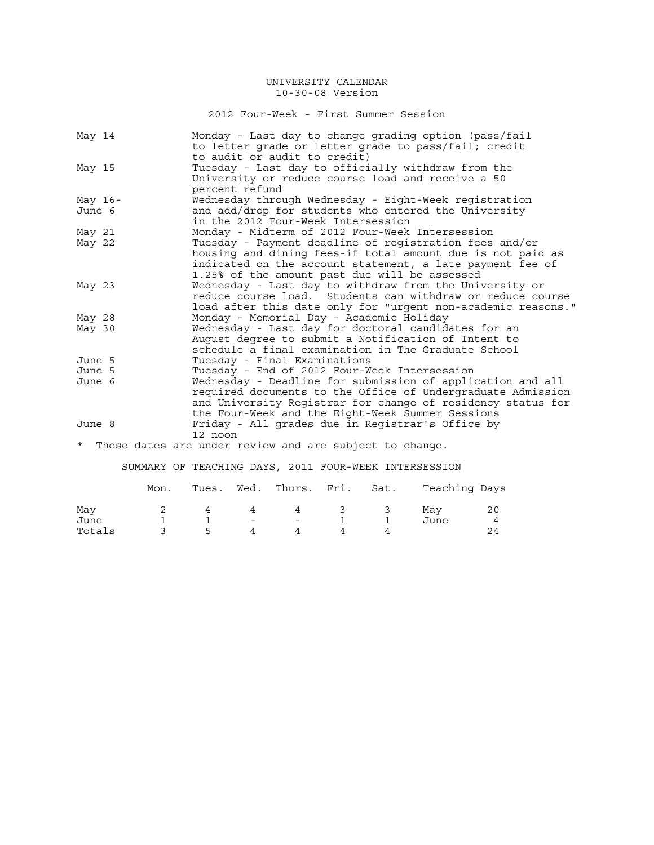2012 Four-Week - First Summer Session

|         | May 14    | Monday - Last day to change grading option (pass/fail<br>to letter grade or letter grade to pass/fail; credit |
|---------|-----------|---------------------------------------------------------------------------------------------------------------|
|         |           | to audit or audit to credit)                                                                                  |
|         | May 15    | Tuesday - Last day to officially withdraw from the                                                            |
|         |           | University or reduce course load and receive a 50                                                             |
|         |           | percent refund                                                                                                |
|         | May $16-$ | Wednesday through Wednesday - Eight-Week registration                                                         |
|         | June 6    | and add/drop for students who entered the University                                                          |
|         |           | in the 2012 Four-Week Intersession                                                                            |
|         | May 21    | Monday - Midterm of 2012 Four-Week Intersession                                                               |
|         | May 22    | Tuesday - Payment deadline of registration fees and/or                                                        |
|         |           | housing and dining fees-if total amount due is not paid as                                                    |
|         |           | indicated on the account statement, a late payment fee of                                                     |
|         |           | 1.25% of the amount past due will be assessed                                                                 |
|         | May 23    | Wednesday - Last day to withdraw from the University or                                                       |
|         |           | reduce course load. Students can withdraw or reduce course                                                    |
|         |           | load after this date only for "urgent non-academic reasons."                                                  |
|         | May 28    | Monday - Memorial Day - Academic Holiday                                                                      |
|         | May 30    | Wednesday - Last day for doctoral candidates for an                                                           |
|         |           | August degree to submit a Notification of Intent to                                                           |
|         |           | schedule a final examination in The Graduate School                                                           |
|         | June 5    | Tuesday - Final Examinations                                                                                  |
|         | June 5    | Tuesday - End of 2012 Four-Week Intersession                                                                  |
|         | June 6    | Wednesday - Deadline for submission of application and all                                                    |
|         |           | required documents to the Office of Undergraduate Admission                                                   |
|         |           | and University Registrar for change of residency status for                                                   |
|         |           | the Four-Week and the Eight-Week Summer Sessions                                                              |
| June 8  |           | Friday - All grades due in Registrar's Office by                                                              |
|         |           | 12 noon                                                                                                       |
| $\star$ |           |                                                                                                               |
|         |           | These dates are under review and are subject to change.                                                       |

SUMMARY OF TEACHING DAYS, 2011 FOUR-WEEK INTERSESSION

|        | Mon. | Tues. |                | Wed. Thurs. Fri. Sat. |                         |              | Teaching Days |    |
|--------|------|-------|----------------|-----------------------|-------------------------|--------------|---------------|----|
| May    |      |       | 4              | 4                     | $\overline{\mathbf{3}}$ | $\mathbf{3}$ | Mav           | 20 |
| June   |      |       | $\overline{a}$ | $\sim$                |                         |              | June          |    |
| Totals |      | 5     |                |                       |                         |              |               |    |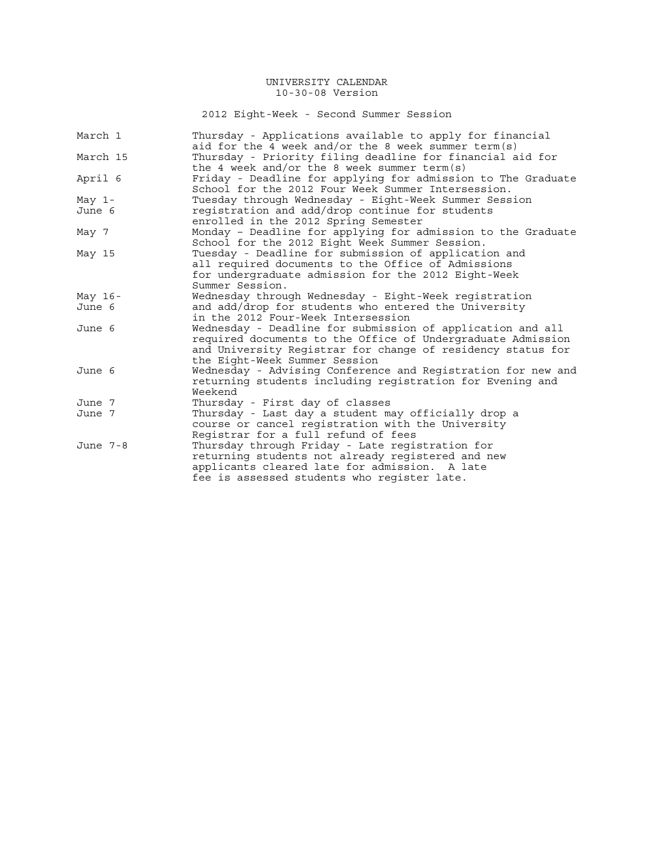2012 Eight-Week - Second Summer Session

| March 1   | Thursday - Applications available to apply for financial<br>aid for the 4 week and/or the 8 week summer term(s)                                                                                                           |
|-----------|---------------------------------------------------------------------------------------------------------------------------------------------------------------------------------------------------------------------------|
| March 15  | Thursday - Priority filing deadline for financial aid for                                                                                                                                                                 |
|           | the 4 week and/or the 8 week summer term(s)                                                                                                                                                                               |
| April 6   | Friday - Deadline for applying for admission to The Graduate<br>School for the 2012 Four Week Summer Intersession.                                                                                                        |
| May $1-$  | Tuesday through Wednesday - Eight-Week Summer Session                                                                                                                                                                     |
| June 6    | registration and add/drop continue for students<br>enrolled in the 2012 Spring Semester                                                                                                                                   |
| May 7     | Monday - Deadline for applying for admission to the Graduate<br>School for the 2012 Eight Week Summer Session.                                                                                                            |
| May 15    | Tuesday - Deadline for submission of application and<br>all required documents to the Office of Admissions<br>for undergraduate admission for the 2012 Eight-Week<br>Summer Session.                                      |
| May $16-$ | Wednesday through Wednesday - Eight-Week registration                                                                                                                                                                     |
| June 6    | and add/drop for students who entered the University<br>in the 2012 Four-Week Intersession                                                                                                                                |
| June 6    | Wednesday - Deadline for submission of application and all<br>required documents to the Office of Undergraduate Admission<br>and University Registrar for change of residency status for<br>the Eight-Week Summer Session |
| June 6    | Wednesday - Advising Conference and Registration for new and<br>returning students including registration for Evening and<br>Weekend                                                                                      |
| June 7    | Thursday - First day of classes                                                                                                                                                                                           |
| June 7    | Thursday - Last day a student may officially drop a<br>course or cancel registration with the University<br>Registrar for a full refund of fees                                                                           |
| June 7-8  | Thursday through Friday - Late registration for<br>returning students not already registered and new<br>applicants cleared late for admission. A late<br>fee is assessed students who register late.                      |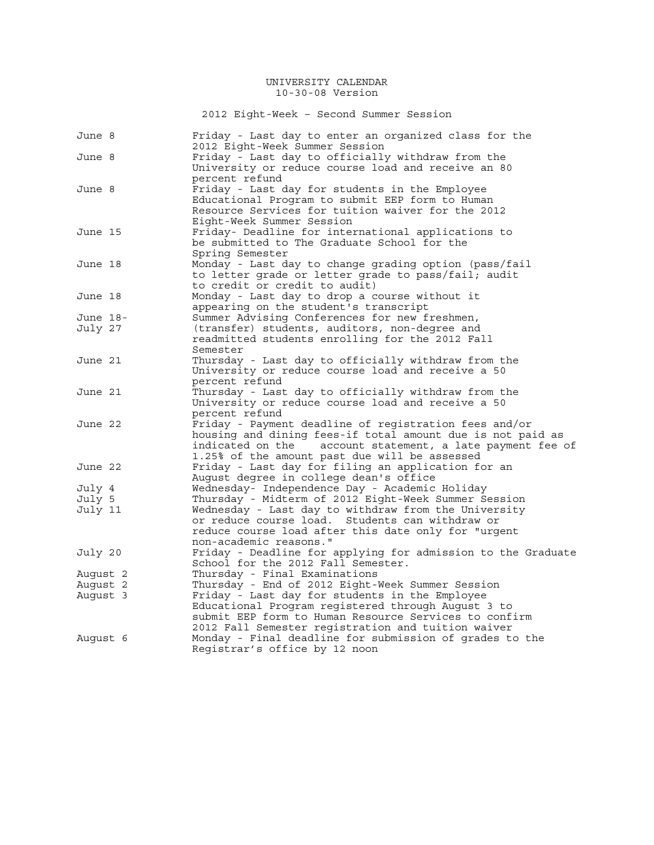2012 Eight-Week – Second Summer Session

| June 8   | Friday - Last day to enter an organized class for the<br>2012 Eight-Week Summer Session                     |
|----------|-------------------------------------------------------------------------------------------------------------|
| June 8   | Friday - Last day to officially withdraw from the                                                           |
|          | University or reduce course load and receive an 80                                                          |
|          | percent refund                                                                                              |
| June 8   | Friday - Last day for students in the Employee                                                              |
|          | Educational Program to submit EEP form to Human                                                             |
|          | Resource Services for tuition waiver for the 2012                                                           |
|          | Eight-Week Summer Session                                                                                   |
| June 15  | Friday- Deadline for international applications to                                                          |
|          | be submitted to The Graduate School for the                                                                 |
|          | Spring Semester                                                                                             |
| June 18  | Monday - Last day to change grading option (pass/fail                                                       |
|          | to letter grade or letter grade to pass/fail; audit                                                         |
|          | to credit or credit to audit)                                                                               |
| June 18  | Monday - Last day to drop a course without it                                                               |
|          | appearing on the student's transcript                                                                       |
| June 18- | Summer Advising Conferences for new freshmen,                                                               |
| July 27  | (transfer) students, auditors, non-degree and                                                               |
|          | readmitted students enrolling for the 2012 Fall                                                             |
|          | Semester                                                                                                    |
| June 21  | Thursday - Last day to officially withdraw from the                                                         |
|          | University or reduce course load and receive a 50                                                           |
|          | percent refund                                                                                              |
| June 21  | Thursday - Last day to officially withdraw from the                                                         |
|          | University or reduce course load and receive a 50                                                           |
|          | percent refund                                                                                              |
| June 22  | Friday - Payment deadline of registration fees and/or                                                       |
|          | housing and dining fees-if total amount due is not paid as                                                  |
|          | indicated on the<br>account statement, a late payment fee of                                                |
|          | 1.25% of the amount past due will be assessed                                                               |
| June 22  | Friday - Last day for filing an application for an                                                          |
|          | August degree in college dean's office                                                                      |
| July 4   | Wednesday- Independence Day - Academic Holiday                                                              |
| July 5   | Thursday - Midterm of 2012 Eight-Week Summer Session                                                        |
| July 11  | Wednesday - Last day to withdraw from the University                                                        |
|          | or reduce course load. Students can withdraw or                                                             |
|          | reduce course load after this date only for "urgent                                                         |
|          | non-academic reasons."                                                                                      |
| July 20  | Friday - Deadline for applying for admission to the Graduate                                                |
|          | School for the 2012 Fall Semester.                                                                          |
| August 2 | Thursday - Final Examinations                                                                               |
| August 2 | Thursday - End of 2012 Eight-Week Summer Session                                                            |
| Auqust 3 | Friday - Last day for students in the Employee                                                              |
|          | Educational Program registered through August 3 to<br>submit EEP form to Human Resource Services to confirm |
|          | 2012 Fall Semester registration and tuition waiver                                                          |
|          | Monday - Final deadline for submission of grades to the                                                     |
| Auqust 6 | Registrar's office by 12 noon                                                                               |
|          |                                                                                                             |